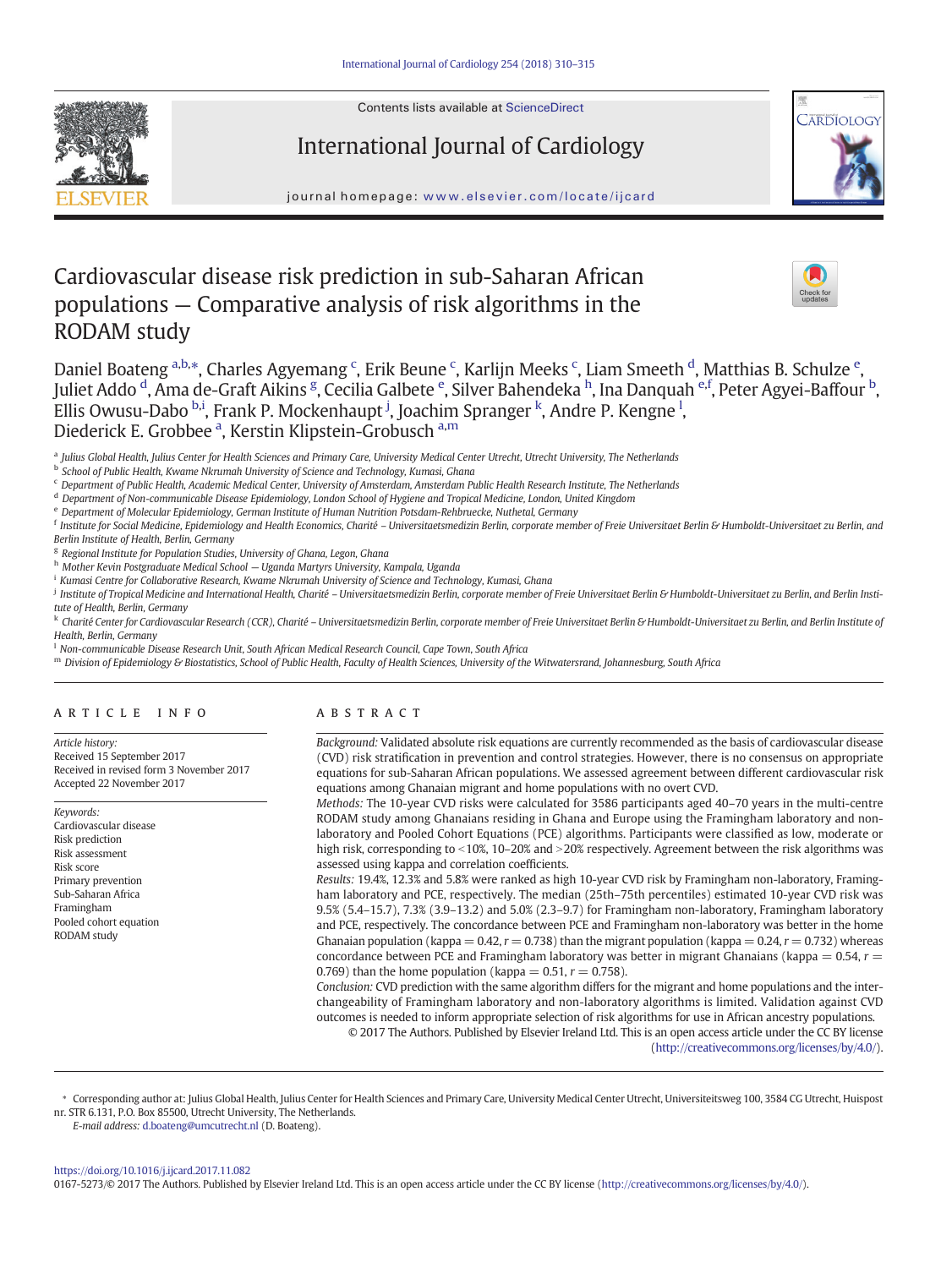

Contents lists available at [ScienceDirect](http://www.sciencedirect.com/science/journal/01675273)

# International Journal of Cardiology



journal homepage: <www.elsevier.com/locate/ijcard>

# Cardiovascular disease risk prediction in sub-Saharan African populations — Comparative analysis of risk algorithms in the RODAM study



Daniel Boateng <sup>a,b,\*</sup>, Charles Agyemang <sup>c</sup>, Erik Beune <sup>c</sup>, Karlijn Meeks <sup>c</sup>, Liam Smeeth <sup>d</sup>, Matthias B. Schulze <sup>e</sup>, Juliet Addo <sup>d</sup>, Ama de-Graft Aikins <sup>g</sup>, Cecilia Galbete <sup>e</sup>, Silver Bahendeka <sup>h</sup>, Ina Danquah <sup>e,f</sup>, Peter Agyei-Baffour <sup>b</sup>, .<br>Ellis Owusu-Dabo <sup>b,i</sup>, Frank P. Mockenhaupt <sup>j</sup>, Joachim Spranger <sup>k</sup>, Andre P. Kengne <sup>l</sup>, Diederick E. Grobbee <sup>a</sup>, Kerstin Klipstein-Grobusch <sup>a,m</sup>

a Julius Global Health, Julius Center for Health Sciences and Primary Care, University Medical Center Utrecht, Utrecht University, The Netherlands

b School of Public Health, Kwame Nkrumah University of Science and Technology, Kumasi, Ghana

<sup>c</sup> Department of Public Health, Academic Medical Center, University of Amsterdam, Amsterdam Public Health Research Institute, The Netherlands

<sup>d</sup> Department of Non-communicable Disease Epidemiology, London School of Hygiene and Tropical Medicine, London, United Kingdom

<sup>e</sup> Department of Molecular Epidemiology, German Institute of Human Nutrition Potsdam-Rehbruecke, Nuthetal, Germany

 $^{\rm f}$  Institute for Social Medicine, Epidemiology and Health Economics, Charité – Universitaetsmedizin Berlin, corporate member of Freie Universitaet Berlin & Humboldt-Universitaet zu Berlin, and Berlin Institute of Health, Berlin, Germany

<sup>g</sup> Regional Institute for Population Studies, University of Ghana, Legon, Ghana

h Mother Kevin Postgraduate Medical School — Uganda Martyrs University, Kampala, Uganda

<sup>i</sup> Kumasi Centre for Collaborative Research, Kwame Nkrumah University of Science and Technology, Kumasi, Ghana

<sup>j</sup> Institute of Tropical Medicine and International Health, Charité – Universitaetsmedizin Berlin, corporate member of Freie Universitaet Berlin & Humboldt-Universitaet zu Berlin, and Berlin Institute of Health, Berlin, Germany

k Charité Center for Cardiovascular Research (CCR), Charité – Universitaetsmedizin Berlin, corporate member of Freie Universitaet Berlin & Humboldt-Universitaet zu Berlin, and Berlin Institute of Health, Berlin, Germany

<sup>1</sup> Non-communicable Disease Research Unit, South African Medical Research Council, Cape Town, South Africa

m Division of Epidemiology & Biostatistics, School of Public Health, Faculty of Health Sciences, University of the Witwatersrand, Johannesburg, South Africa

## article info abstract

Article history: Received 15 September 2017 Received in revised form 3 November 2017 Accepted 22 November 2017

Keywords: Cardiovascular disease Risk prediction Risk assessment Risk score Primary prevention Sub-Saharan Africa Framingham Pooled cohort equation RODAM study

Background: Validated absolute risk equations are currently recommended as the basis of cardiovascular disease (CVD) risk stratification in prevention and control strategies. However, there is no consensus on appropriate equations for sub-Saharan African populations. We assessed agreement between different cardiovascular risk equations among Ghanaian migrant and home populations with no overt CVD.

Methods: The 10-year CVD risks were calculated for 3586 participants aged 40–70 years in the multi-centre RODAM study among Ghanaians residing in Ghana and Europe using the Framingham laboratory and nonlaboratory and Pooled Cohort Equations (PCE) algorithms. Participants were classified as low, moderate or high risk, corresponding to  $\langle 10\%, 10-20\% \text{ and } 20\% \text{ respectively.}$  Agreement between the risk algorithms was assessed using kappa and correlation coefficients.

Results: 19.4%, 12.3% and 5.8% were ranked as high 10-year CVD risk by Framingham non-laboratory, Framingham laboratory and PCE, respectively. The median (25th–75th percentiles) estimated 10-year CVD risk was 9.5% (5.4–15.7), 7.3% (3.9–13.2) and 5.0% (2.3–9.7) for Framingham non-laboratory, Framingham laboratory and PCE, respectively. The concordance between PCE and Framingham non-laboratory was better in the home Ghanaian population (kappa =  $0.42$ ,  $r = 0.738$ ) than the migrant population (kappa =  $0.24$ ,  $r = 0.732$ ) whereas concordance between PCE and Framingham laboratory was better in migrant Ghanaians (kappa =  $0.54$ ,  $r =$ 0.769) than the home population (kappa =  $0.51$ ,  $r = 0.758$ ).

Conclusion: CVD prediction with the same algorithm differs for the migrant and home populations and the interchangeability of Framingham laboratory and non-laboratory algorithms is limited. Validation against CVD outcomes is needed to inform appropriate selection of risk algorithms for use in African ancestry populations.

© 2017 The Authors. Published by Elsevier Ireland Ltd. This is an open access article under the CC BY license [\(http://creativecommons.org/licenses/by/4.0/](http://creativecommons.org/licenses/by/4.0/)).

Corresponding author at: Julius Global Health, Julius Center for Health Sciences and Primary Care, University Medical Center Utrecht, Universiteitsweg 100, 3584 CG Utrecht, Huispost nr. STR 6.131, P.O. Box 85500, Utrecht University, The Netherlands.

E-mail address: [d.boateng@umcutrecht.nl](mailto:d.boateng@umcutrecht.nl) (D. Boateng).

<https://doi.org/10.1016/j.ijcard.2017.11.082>

0167-5273/© 2017 The Authors. Published by Elsevier Ireland Ltd. This is an open access article under the CC BY license (<http://creativecommons.org/licenses/by/4.0/>).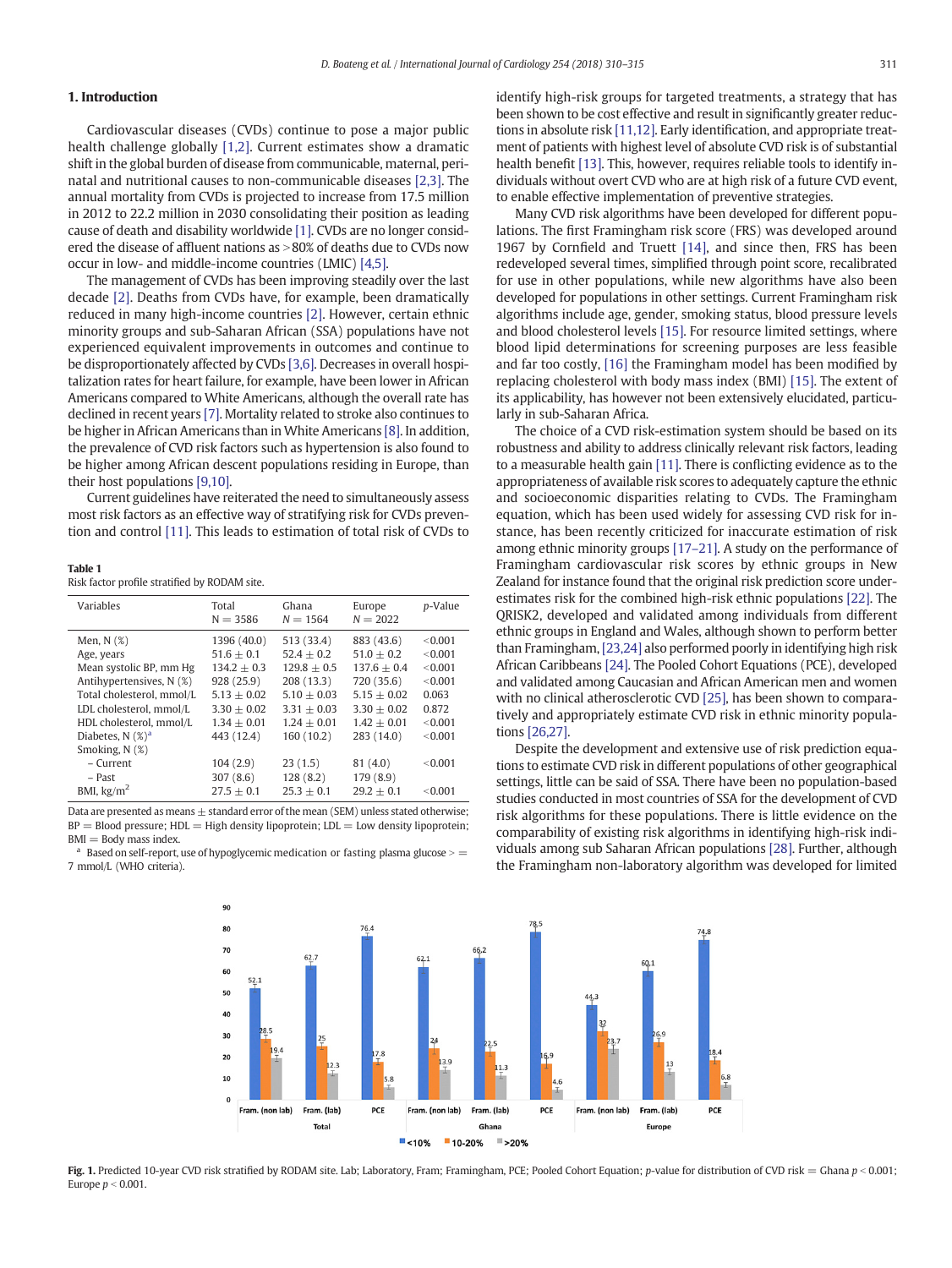# <span id="page-1-0"></span>1. Introduction

Cardiovascular diseases (CVDs) continue to pose a major public health challenge globally [\[1,2\]](#page-4-0). Current estimates show a dramatic shift in the global burden of disease from communicable, maternal, perinatal and nutritional causes to non-communicable diseases [\[2,3\]](#page-4-0). The annual mortality from CVDs is projected to increase from 17.5 million in 2012 to 22.2 million in 2030 consolidating their position as leading cause of death and disability worldwide [\[1\].](#page-4-0) CVDs are no longer considered the disease of affluent nations as  $>80\%$  of deaths due to CVDs now occur in low- and middle-income countries (LMIC) [\[4,5\].](#page-4-0)

The management of CVDs has been improving steadily over the last decade [\[2\]](#page-4-0). Deaths from CVDs have, for example, been dramatically reduced in many high-income countries [\[2\].](#page-4-0) However, certain ethnic minority groups and sub-Saharan African (SSA) populations have not experienced equivalent improvements in outcomes and continue to be disproportionately affected by CVDs [\[3,6\]](#page-4-0). Decreases in overall hospitalization rates for heart failure, for example, have been lower in African Americans compared to White Americans, although the overall rate has declined in recent years [\[7\]](#page-4-0). Mortality related to stroke also continues to be higher in African Americans than in White Americans [\[8\]](#page-4-0). In addition, the prevalence of CVD risk factors such as hypertension is also found to be higher among African descent populations residing in Europe, than their host populations [\[9,10\]](#page-4-0).

Current guidelines have reiterated the need to simultaneously assess most risk factors as an effective way of stratifying risk for CVDs prevention and control [\[11\]](#page-4-0). This leads to estimation of total risk of CVDs to

#### Table 1

Risk factor profile stratified by RODAM site.

| Variables                 | Total<br>$N = 3586$ | Ghana<br>$N = 1564$ | Europe<br>$N = 2022$ | p-Value |
|---------------------------|---------------------|---------------------|----------------------|---------|
| Men, $N$ $(\%)$           | 1396 (40.0)         | 513 (33.4)          | 883 (43.6)           | < 0.001 |
| Age, years                | $51.6 + 0.1$        | $52.4 + 0.2$        | $51.0 + 0.2$         | < 0.001 |
| Mean systolic BP, mm Hg   | $134.2 + 0.3$       | $129.8 + 0.5$       | $137.6 + 0.4$        | < 0.001 |
| Antihypertensives, N (%)  | 928(25.9)           | 208(13.3)           | 720 (35.6)           | < 0.001 |
| Total cholesterol, mmol/L | $5.13 + 0.02$       | $5.10 + 0.03$       | $5.15 + 0.02$        | 0.063   |
| LDL cholesterol, mmol/L   | $3.30 + 0.02$       | $3.31 + 0.03$       | $3.30 + 0.02$        | 0.872   |
| HDL cholesterol, mmol/L   | $1.34 + 0.01$       | $1.24 + 0.01$       | $1.42 + 0.01$        | < 0.001 |
| Diabetes, $N$ $(\%)^a$    | 443 (12.4)          | 160(10.2)           | 283 (14.0)           | < 0.001 |
| Smoking, N (%)            |                     |                     |                      |         |
| - Current                 | 104(2.9)            | 23(1.5)             | 81 (4.0)             | < 0.001 |
| - Past                    | 307(8.6)            | 128(8.2)            | 179 (8.9)            |         |
| BMI, $\text{kg/m}^2$      | $27.5 + 0.1$        | $25.3 + 0.1$        | $29.2 + 0.1$         | < 0.001 |

Data are presented as means  $\pm$  standard error of the mean (SEM) unless stated otherwise;  $BP = Blood pressure$ ;  $HDL = High density lipoprotein$ ;  $LDL = Low density lipoprotein$ ;  $BMI = Body$  mass index.

Based on self-report, use of hypoglycemic medication or fasting plasma glucose  $\succ$  = 7 mmol/L (WHO criteria).

identify high-risk groups for targeted treatments, a strategy that has been shown to be cost effective and result in significantly greater reductions in absolute risk [\[11,12\].](#page-4-0) Early identification, and appropriate treatment of patients with highest level of absolute CVD risk is of substantial health benefit [\[13\]](#page-4-0). This, however, requires reliable tools to identify individuals without overt CVD who are at high risk of a future CVD event, to enable effective implementation of preventive strategies.

Many CVD risk algorithms have been developed for different populations. The first Framingham risk score (FRS) was developed around 1967 by Cornfield and Truett [\[14\]](#page-4-0), and since then, FRS has been redeveloped several times, simplified through point score, recalibrated for use in other populations, while new algorithms have also been developed for populations in other settings. Current Framingham risk algorithms include age, gender, smoking status, blood pressure levels and blood cholesterol levels [\[15\].](#page-4-0) For resource limited settings, where blood lipid determinations for screening purposes are less feasible and far too costly, [\[16\]](#page-4-0) the Framingham model has been modified by replacing cholesterol with body mass index (BMI) [\[15\]](#page-4-0). The extent of its applicability, has however not been extensively elucidated, particularly in sub-Saharan Africa.

The choice of a CVD risk-estimation system should be based on its robustness and ability to address clinically relevant risk factors, leading to a measurable health gain [\[11\].](#page-4-0) There is conflicting evidence as to the appropriateness of available risk scores to adequately capture the ethnic and socioeconomic disparities relating to CVDs. The Framingham equation, which has been used widely for assessing CVD risk for instance, has been recently criticized for inaccurate estimation of risk among ethnic minority groups [\[17](#page-4-0)–21]. A study on the performance of Framingham cardiovascular risk scores by ethnic groups in New Zealand for instance found that the original risk prediction score underestimates risk for the combined high-risk ethnic populations [\[22\]](#page-4-0). The QRISK2, developed and validated among individuals from different ethnic groups in England and Wales, although shown to perform better than Framingham,[\[23,24\]](#page-4-0) also performed poorly in identifying high risk African Caribbeans [\[24\].](#page-4-0) The Pooled Cohort Equations (PCE), developed and validated among Caucasian and African American men and women with no clinical atherosclerotic CVD [\[25\]](#page-4-0), has been shown to comparatively and appropriately estimate CVD risk in ethnic minority populations [\[26,27\]](#page-4-0).

Despite the development and extensive use of risk prediction equations to estimate CVD risk in different populations of other geographical settings, little can be said of SSA. There have been no population-based studies conducted in most countries of SSA for the development of CVD risk algorithms for these populations. There is little evidence on the comparability of existing risk algorithms in identifying high-risk individuals among sub Saharan African populations [\[28\].](#page-5-0) Further, although the Framingham non-laboratory algorithm was developed for limited



Fig. 1. Predicted 10-year CVD risk stratified by RODAM site. Lab; Laboratory, Fram; Framingham, PCE; Pooled Cohort Equation; p-value for distribution of CVD risk = Ghana  $p < 0.001$ ; Europe  $p < 0.001$ .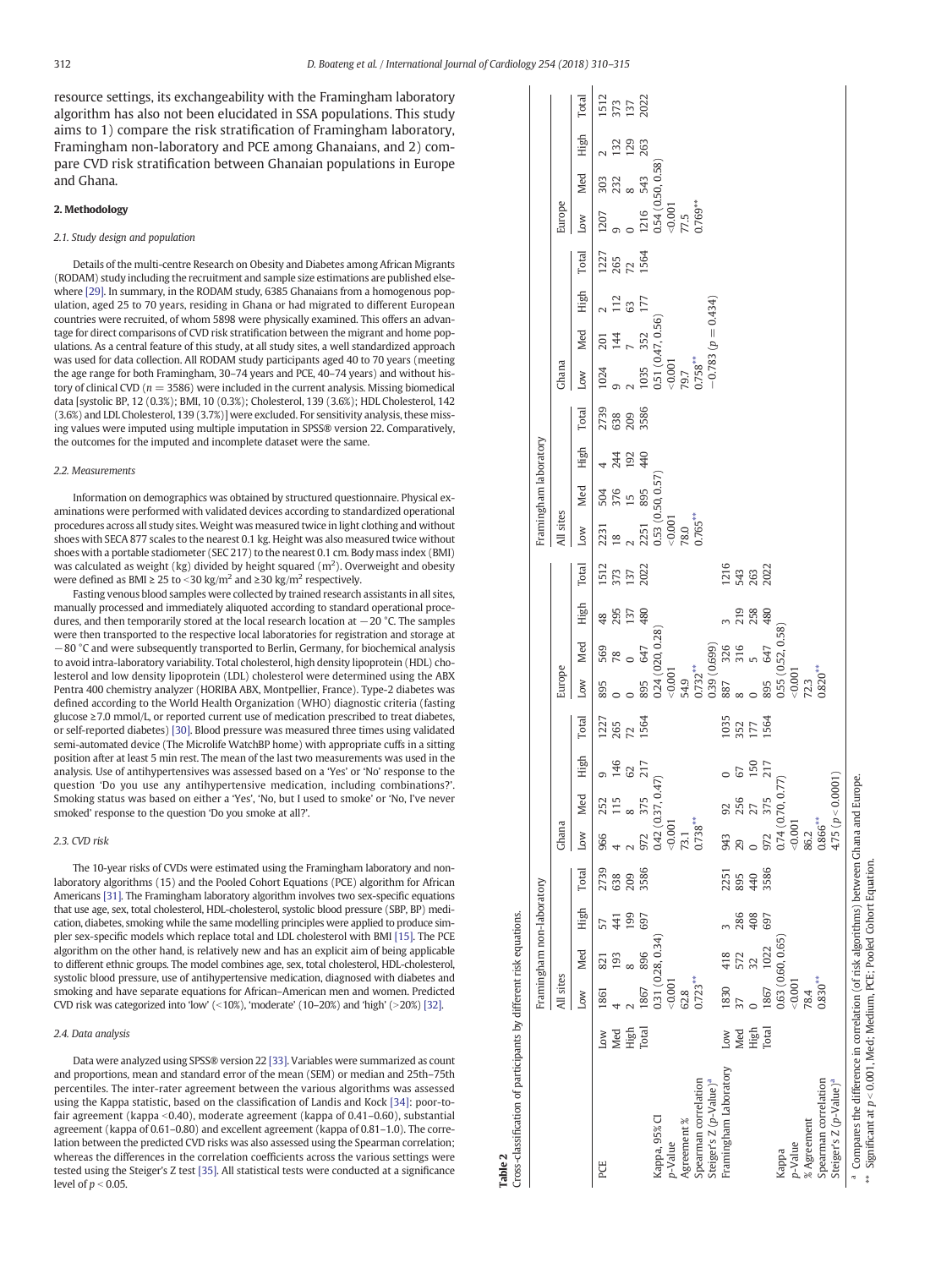Table 2

<span id="page-2-0"></span>resource settings, its exchangeability with the Framingham laboratory algorithm has also not been elucidated in SSA populations. This study aims to 1) compare the risk stratification of Framingham laboratory, Framingham non-laboratory and PCE among Ghanaians, and 2) compare CVD risk stratification between Ghanaian populations in Europe and Ghana.

#### 2. Methodology

#### 2.1. Study design and population

Details of the multi-centre Research on Obesity and Diabetes among African Migrants (RODAM) study including the recruitment and sample size estimations are published else-where [\[29\].](#page-5-0) In summary, in the RODAM study, 6385 Ghanaians from a homogenous population, aged 25 to 70 years, residing in Ghana or had migrated to different European countries were recruited, of whom 5898 were physically examined. This offers an advantage for direct comparisons of CVD risk stratification between the migrant and home populations. As a central feature of this study, at all study sites, a well standardized approach was used for data collection. All RODAM study participants aged 40 to 70 years (meeting the age range for both Framingham, 30–74 years and PCE, 40–74 years) and without history of clinical CVD ( $n = 3586$ ) were included in the current analysis. Missing biomedical data [systolic BP, 12 (0.3%); BMI, 10 (0.3%); Cholesterol, 139 (3.6%); HDL Cholesterol, 142 (3.6%) and LDL Cholesterol, 139 (3.7%)] were excluded. For sensitivity analysis, these missing values were imputed using multiple imputation in SPSS® version 22. Comparatively, the outcomes for the imputed and incomplete dataset were the same.

#### 2.2. Measurements

Information on demographics was obtained by structured questionnaire. Physical examinations were performed with validated devices according to standardized operational procedures across all study sites.Weight was measured twice in light clothing and without shoes with SECA 877 scales to the nearest 0.1 kg. Height was also measured twice without shoes with a portable stadiometer (SEC 217) to the nearest 0.1 cm. Body mass index (BMI) was calculated as weight (kg) divided by height squared ( $m<sup>2</sup>$ ). Overweight and obesity were defined as BMI  $\geq$  25 to <30 kg/m<sup>2</sup> and  $\geq$ 30 kg/m<sup>2</sup> respectively.

Fasting venous blood samples were collected by trained research assistants in all sites, manually processed and immediately aliquoted according to standard operational procedures, and then temporarily stored at the local research location at −20 °C. The samples were then transported to the respective local laboratories for registration and storage at −80 °C and were subsequently transported to Berlin, Germany, for biochemical analysis to avoid intra-laboratory variability. Total cholesterol, high density lipoprotein (HDL) cholesterol and low density lipoprotein (LDL) cholesterol were determined using the ABX Pentra 400 chemistry analyzer (HORIBA ABX, Montpellier, France). Type-2 diabetes was defined according to the World Health Organization (WHO) diagnostic criteria (fasting glucose ≥7.0 mmol/L, or reported current use of medication prescribed to treat diabetes, or self-reported diabetes) [\[30\].](#page-5-0) Blood pressure was measured three times using validated semi-automated device (The Microlife WatchBP home) with appropriate cuffs in a sitting position after at least 5 min rest. The mean of the last two measurements was used in the analysis. Use of antihypertensives was assessed based on a 'Yes' or 'No' response to the question 'Do you use any antihypertensive medication, including combinations?'. Smoking status was based on either a 'Yes', 'No, but I used to smoke' or 'No, I've never smoked' response to the question 'Do you smoke at all?'.

### 2.3. CVD risk

The 10-year risks of CVDs were estimated using the Framingham laboratory and nonlaboratory algorithms (15) and the Pooled Cohort Equations (PCE) algorithm for African Americans [\[31\].](#page-5-0) The Framingham laboratory algorithm involves two sex-specific equations that use age, sex, total cholesterol, HDL-cholesterol, systolic blood pressure (SBP, BP) medication, diabetes, smoking while the same modelling principles were applied to produce simpler sex-specific models which replace total and LDL cholesterol with BMI [\[15\]](#page-4-0). The PCE algorithm on the other hand, is relatively new and has an explicit aim of being applicable to different ethnic groups. The model combines age, sex, total cholesterol, HDL-cholesterol, systolic blood pressure, use of antihypertensive medication, diagnosed with diabetes and smoking and have separate equations for African–American men and women. Predicted CVD risk was categorized into 'low' (<10%), 'moderate' (10–20%) and 'high' (>20%) [\[32\]](#page-5-0).

#### 2.4. Data analysis

Data were analyzed using SPSS® version 22 [\[33\].](#page-5-0) Variables were summarized as count and proportions, mean and standard error of the mean (SEM) or median and 25th–75th percentiles. The inter-rater agreement between the various algorithms was assessed using the Kappa statistic, based on the classification of Landis and Kock [\[34\]](#page-5-0): poor-tofair agreement (kappa < 0.40), moderate agreement (kappa of 0.41–0.60), substantial agreement (kappa of 0.61–0.80) and excellent agreement (kappa of 0.81–1.0). The correlation between the predicted CVD risks was also assessed using the Spearman correlation; whereas the differences in the correlation coefficients across the various settings were tested using the Steiger's Z test [\[35\].](#page-5-0) All statistical tests were conducted at a significance level of  $p < 0.05$ .

|                                                                                                                                                                            |       |            | Framingham non-laboratory |      |       |                |                         |                       |                             |                                                                                                                                          |     |            |                                                           | Framingham laboratory                                                                                                               |            |      |                            |                                                                                                                                                      |     |                           |                             |        |                                                                                                                                                     |                   |                            |
|----------------------------------------------------------------------------------------------------------------------------------------------------------------------------|-------|------------|---------------------------|------|-------|----------------|-------------------------|-----------------------|-----------------------------|------------------------------------------------------------------------------------------------------------------------------------------|-----|------------|-----------------------------------------------------------|-------------------------------------------------------------------------------------------------------------------------------------|------------|------|----------------------------|------------------------------------------------------------------------------------------------------------------------------------------------------|-----|---------------------------|-----------------------------|--------|-----------------------------------------------------------------------------------------------------------------------------------------------------|-------------------|----------------------------|
|                                                                                                                                                                            |       | All sites  |                           |      |       | Ghana          |                         |                       |                             | Europe                                                                                                                                   |     |            |                                                           | All sites                                                                                                                           |            |      |                            | Ghana                                                                                                                                                |     |                           |                             | Europe |                                                                                                                                                     |                   |                            |
|                                                                                                                                                                            |       | Low        | Med                       | High | Total | Low            | Med                     | High                  | Total                       | Low                                                                                                                                      | Med | High       | Total                                                     | Low                                                                                                                                 | Med        | High | Total                      | Low                                                                                                                                                  | Med | High                      | Total                       | Low    | Med                                                                                                                                                 | High              | Total                      |
| PCE                                                                                                                                                                        | Low   | 1861       | 821                       |      | 2739  | 966            |                         |                       |                             |                                                                                                                                          |     | 48         |                                                           | 2231                                                                                                                                |            |      |                            |                                                                                                                                                      |     |                           |                             | 1207   |                                                                                                                                                     |                   |                            |
|                                                                                                                                                                            | Med   |            | 193                       | 441  | 638   |                | 252<br>115<br>8         | 9<br>146<br>62<br>217 | 1227<br>265<br>1564<br>1564 | $\begin{array}{ccc} 895 & 569 & 4 \\ 0 & 78 & 2 \\ 0 & 0 & 1 \\ 895 & 647 & 4 \\ 0.24\,(020, 0.28) & \\ <0.01 & 0.01 & 0.02 \end{array}$ |     | 295        | $\begin{array}{l} 1512 \\ 373 \\ 137 \\ 2022 \end{array}$ | $\frac{18}{2}$                                                                                                                      | 504<br>376 | 244  | 2739<br>038<br>209<br>3586 | $\begin{array}{ccc} & 1024 & 201 \\ 9 & 144 \\ 2 & 7 \\ 1035 & 352 \\ -0.51 (0.47, 0.56) \\ -0.001 \\ 79.7 \\ 0.78^{**} \\ 0.78^{**} \\ \end{array}$ |     | $\frac{2}{112}$ 63<br>177 | 1227<br>265<br>1564<br>1564 |        |                                                                                                                                                     |                   | 1512<br>373<br>137<br>2022 |
|                                                                                                                                                                            | High  |            |                           | 199  | 209   |                |                         |                       |                             |                                                                                                                                          |     | 137        |                                                           |                                                                                                                                     | 15         | 192  |                            |                                                                                                                                                      |     |                           |                             |        |                                                                                                                                                     | 132<br>129<br>263 |                            |
|                                                                                                                                                                            | Total | 1867       | 896                       | 697  | 3586  | 972            | 375                     |                       |                             |                                                                                                                                          |     | 480        |                                                           |                                                                                                                                     |            | 440  |                            |                                                                                                                                                      |     |                           |                             |        |                                                                                                                                                     |                   |                            |
| Kappa, 95% CI                                                                                                                                                              |       |            | 0.31(0.28, 0.34)          |      |       | 0.42 (0.37,    | , 0.47)                 |                       |                             |                                                                                                                                          |     |            |                                                           |                                                                                                                                     |            |      |                            |                                                                                                                                                      |     |                           |                             |        |                                                                                                                                                     |                   |                            |
| p-Value                                                                                                                                                                    |       | 0.001      |                           |      |       | 0.001          |                         |                       |                             |                                                                                                                                          |     |            |                                                           |                                                                                                                                     |            |      |                            |                                                                                                                                                      |     |                           |                             |        |                                                                                                                                                     |                   |                            |
| Agreement %                                                                                                                                                                |       | 62.8       |                           |      |       | 73.1           |                         |                       |                             |                                                                                                                                          |     |            |                                                           |                                                                                                                                     |            |      |                            |                                                                                                                                                      |     |                           |                             |        |                                                                                                                                                     |                   |                            |
| Spearman correlation                                                                                                                                                       |       | $0.723***$ |                           |      |       | $0.738***$     |                         |                       |                             |                                                                                                                                          |     |            |                                                           | $\begin{array}{ll} 2251 & 895 & \cdot \cr 0.53\;(0.50,0.57) \cr \leqslant & \cr 78.0 & & \cr 0.765^{**} \cr 0.765^{**} \end{array}$ |            |      |                            |                                                                                                                                                      |     |                           |                             |        | $\begin{array}{ccc} 9 & 232 & 1 \\ 0 & 8 & 1 \\ 1216 & 543 & 2 \\ 0.54\ (0.50, 0.58) & \\ <0.001 & 77.5 & \\ 0.769^{**} & 0.769^{**} & \end{array}$ |                   |                            |
| Steiger's Z (p-Value) <sup>a</sup>                                                                                                                                         |       |            |                           |      |       |                |                         |                       |                             |                                                                                                                                          |     |            |                                                           |                                                                                                                                     |            |      |                            | $-0.783 (p = 0.434)$                                                                                                                                 |     |                           |                             |        |                                                                                                                                                     |                   |                            |
| Framingham Laboratory                                                                                                                                                      | Low   | 1830       | 418                       |      | 2251  | 943            |                         |                       |                             |                                                                                                                                          |     |            |                                                           |                                                                                                                                     |            |      |                            |                                                                                                                                                      |     |                           |                             |        |                                                                                                                                                     |                   |                            |
|                                                                                                                                                                            | Med   |            | 572                       | 286  | 895   | 29             | 92<br>255<br>275<br>375 | 67<br>150<br>217      | 1035<br>352<br>177<br>1564  |                                                                                                                                          |     | 219<br>258 | 1216<br>543<br>2022<br>2022                               |                                                                                                                                     |            |      |                            |                                                                                                                                                      |     |                           |                             |        |                                                                                                                                                     |                   |                            |
|                                                                                                                                                                            | High  |            | 32                        | 408  | 440   |                |                         |                       |                             |                                                                                                                                          |     |            |                                                           |                                                                                                                                     |            |      |                            |                                                                                                                                                      |     |                           |                             |        |                                                                                                                                                     |                   |                            |
|                                                                                                                                                                            | Total | 1867       | 1022                      | 697  | 3586  | 972            |                         |                       |                             |                                                                                                                                          |     | 480        |                                                           |                                                                                                                                     |            |      |                            |                                                                                                                                                      |     |                           |                             |        |                                                                                                                                                     |                   |                            |
| Kappa                                                                                                                                                                      |       |            | 0.63 (0.60, 0.65          |      |       | 0.74(0.70,     | , 0.77)                 |                       |                             |                                                                                                                                          |     |            |                                                           |                                                                                                                                     |            |      |                            |                                                                                                                                                      |     |                           |                             |        |                                                                                                                                                     |                   |                            |
| p-Value                                                                                                                                                                    |       | 10000      |                           |      |       | 0.001          |                         |                       |                             |                                                                                                                                          |     |            |                                                           |                                                                                                                                     |            |      |                            |                                                                                                                                                      |     |                           |                             |        |                                                                                                                                                     |                   |                            |
| % Agreement                                                                                                                                                                |       | 78.4       |                           |      |       | 86.2           |                         |                       |                             | $72.3$<br>$0.820***$                                                                                                                     |     |            |                                                           |                                                                                                                                     |            |      |                            |                                                                                                                                                      |     |                           |                             |        |                                                                                                                                                     |                   |                            |
| Spearman correlation                                                                                                                                                       |       | $0.830***$ |                           |      |       | $0.866***$     |                         |                       |                             |                                                                                                                                          |     |            |                                                           |                                                                                                                                     |            |      |                            |                                                                                                                                                      |     |                           |                             |        |                                                                                                                                                     |                   |                            |
| Steiger's Z (p-Value) <sup>a</sup>                                                                                                                                         |       |            |                           |      |       | 4.75 ( $p < 0$ | 0.0001                  |                       |                             |                                                                                                                                          |     |            |                                                           |                                                                                                                                     |            |      |                            |                                                                                                                                                      |     |                           |                             |        |                                                                                                                                                     |                   |                            |
| <sup>a</sup> Compares the difference in correlation (of risk algorithms) between Ghana and Europe.<br>*** Significant at n < 0.001 Med: Medium PCF: Pooled Cohort Foustion |       |            |                           |      |       |                |                         |                       |                             |                                                                                                                                          |     |            |                                                           |                                                                                                                                     |            |      |                            |                                                                                                                                                      |     |                           |                             |        |                                                                                                                                                     |                   |                            |

 $^{**}$  Significant at  $p < 0.001$ , Med; Medium, PCE; Pooled Cohort Equation.

Significant at p < 0.001, Med; Medium, PCE; Pooled Cohort Equation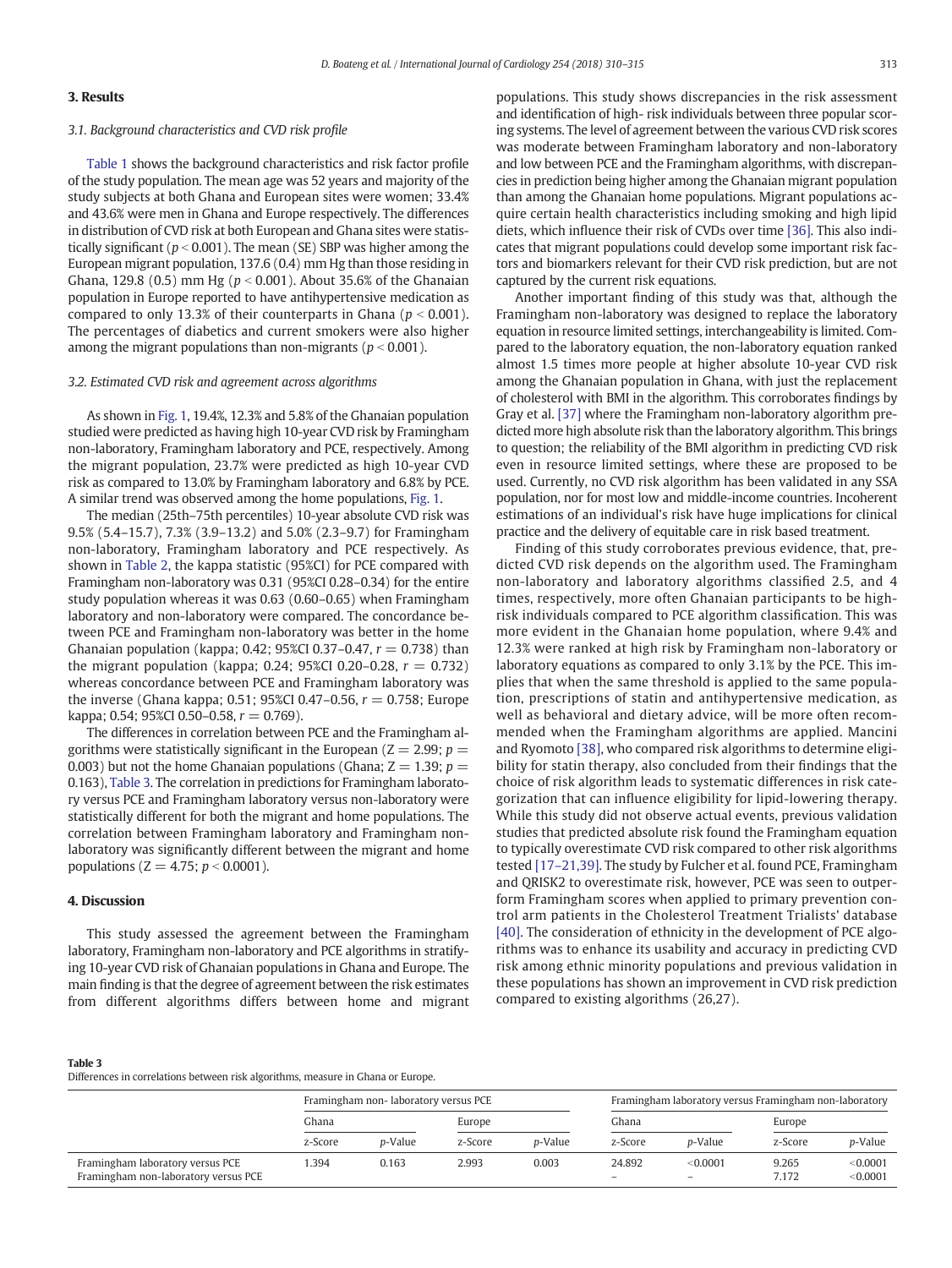# 3. Results

### 3.1. Background characteristics and CVD risk profile

[Table 1](#page-1-0) shows the background characteristics and risk factor profile of the study population. The mean age was 52 years and majority of the study subjects at both Ghana and European sites were women; 33.4% and 43.6% were men in Ghana and Europe respectively. The differences in distribution of CVD risk at both European and Ghana sites were statistically significant ( $p < 0.001$ ). The mean (SE) SBP was higher among the European migrant population, 137.6 (0.4) mm Hg than those residing in Ghana, 129.8 (0.5) mm Hg ( $p < 0.001$ ). About 35.6% of the Ghanaian population in Europe reported to have antihypertensive medication as compared to only 13.3% of their counterparts in Ghana ( $p < 0.001$ ). The percentages of diabetics and current smokers were also higher among the migrant populations than non-migrants ( $p < 0.001$ ).

#### 3.2. Estimated CVD risk and agreement across algorithms

As shown in [Fig. 1](#page-1-0), 19.4%, 12.3% and 5.8% of the Ghanaian population studied were predicted as having high 10-year CVD risk by Framingham non-laboratory, Framingham laboratory and PCE, respectively. Among the migrant population, 23.7% were predicted as high 10-year CVD risk as compared to 13.0% by Framingham laboratory and 6.8% by PCE. A similar trend was observed among the home populations, [Fig. 1](#page-1-0).

The median (25th–75th percentiles) 10-year absolute CVD risk was 9.5% (5.4–15.7), 7.3% (3.9–13.2) and 5.0% (2.3–9.7) for Framingham non-laboratory, Framingham laboratory and PCE respectively. As shown in [Table 2](#page-2-0), the kappa statistic (95%CI) for PCE compared with Framingham non-laboratory was 0.31 (95%CI 0.28–0.34) for the entire study population whereas it was 0.63 (0.60–0.65) when Framingham laboratory and non-laboratory were compared. The concordance between PCE and Framingham non-laboratory was better in the home Ghanaian population (kappa; 0.42; 95%CI 0.37–0.47,  $r = 0.738$ ) than the migrant population (kappa; 0.24; 95%CI 0.20–0.28,  $r = 0.732$ ) whereas concordance between PCE and Framingham laboratory was the inverse (Ghana kappa; 0.51; 95%CI 0.47-0.56,  $r = 0.758$ ; Europe kappa; 0.54; 95%CI 0.50-0.58,  $r = 0.769$ ).

The differences in correlation between PCE and the Framingham algorithms were statistically significant in the European ( $Z = 2.99$ ;  $p =$ 0.003) but not the home Ghanaian populations (Ghana;  $Z = 1.39$ ;  $p =$ 0.163), Table 3. The correlation in predictions for Framingham laboratory versus PCE and Framingham laboratory versus non-laboratory were statistically different for both the migrant and home populations. The correlation between Framingham laboratory and Framingham nonlaboratory was significantly different between the migrant and home populations ( $Z = 4.75$ ;  $p < 0.0001$ ).

# 4. Discussion

This study assessed the agreement between the Framingham laboratory, Framingham non-laboratory and PCE algorithms in stratifying 10-year CVD risk of Ghanaian populations in Ghana and Europe. The main finding is that the degree of agreement between the risk estimates from different algorithms differs between home and migrant populations. This study shows discrepancies in the risk assessment and identification of high- risk individuals between three popular scoring systems. The level of agreement between the various CVD risk scores was moderate between Framingham laboratory and non-laboratory and low between PCE and the Framingham algorithms, with discrepancies in prediction being higher among the Ghanaian migrant population than among the Ghanaian home populations. Migrant populations acquire certain health characteristics including smoking and high lipid diets, which influence their risk of CVDs over time [\[36\]](#page-5-0). This also indicates that migrant populations could develop some important risk factors and biomarkers relevant for their CVD risk prediction, but are not captured by the current risk equations.

Another important finding of this study was that, although the Framingham non-laboratory was designed to replace the laboratory equation in resource limited settings, interchangeability is limited. Compared to the laboratory equation, the non-laboratory equation ranked almost 1.5 times more people at higher absolute 10-year CVD risk among the Ghanaian population in Ghana, with just the replacement of cholesterol with BMI in the algorithm. This corroborates findings by Gray et al. [\[37\]](#page-5-0) where the Framingham non-laboratory algorithm predicted more high absolute risk than the laboratory algorithm. This brings to question; the reliability of the BMI algorithm in predicting CVD risk even in resource limited settings, where these are proposed to be used. Currently, no CVD risk algorithm has been validated in any SSA population, nor for most low and middle-income countries. Incoherent estimations of an individual's risk have huge implications for clinical practice and the delivery of equitable care in risk based treatment.

Finding of this study corroborates previous evidence, that, predicted CVD risk depends on the algorithm used. The Framingham non-laboratory and laboratory algorithms classified 2.5, and 4 times, respectively, more often Ghanaian participants to be highrisk individuals compared to PCE algorithm classification. This was more evident in the Ghanaian home population, where 9.4% and 12.3% were ranked at high risk by Framingham non-laboratory or laboratory equations as compared to only 3.1% by the PCE. This implies that when the same threshold is applied to the same population, prescriptions of statin and antihypertensive medication, as well as behavioral and dietary advice, will be more often recommended when the Framingham algorithms are applied. Mancini and Ryomoto [\[38\]](#page-5-0), who compared risk algorithms to determine eligibility for statin therapy, also concluded from their findings that the choice of risk algorithm leads to systematic differences in risk categorization that can influence eligibility for lipid-lowering therapy. While this study did not observe actual events, previous validation studies that predicted absolute risk found the Framingham equation to typically overestimate CVD risk compared to other risk algorithms tested [17–[21,39\]](#page-4-0). The study by Fulcher et al. found PCE, Framingham and QRISK2 to overestimate risk, however, PCE was seen to outperform Framingham scores when applied to primary prevention control arm patients in the Cholesterol Treatment Trialists' database [\[40\].](#page-5-0) The consideration of ethnicity in the development of PCE algorithms was to enhance its usability and accuracy in predicting CVD risk among ethnic minority populations and previous validation in these populations has shown an improvement in CVD risk prediction compared to existing algorithms (26,27).

#### Table 3

Differences in correlations between risk algorithms, measure in Ghana or Europe.

|                                                                          |         | Framingham non-laboratory versus PCE |         |                 | Framingham laboratory versus Framingham non-laboratory |                                      |                |                      |  |
|--------------------------------------------------------------------------|---------|--------------------------------------|---------|-----------------|--------------------------------------------------------|--------------------------------------|----------------|----------------------|--|
|                                                                          | Ghana   |                                      | Europe  |                 | Ghana                                                  |                                      | Europe         |                      |  |
|                                                                          | z-Score | <i>p</i> -Value                      | z-Score | <i>p</i> -Value | z-Score                                                | <i>p</i> -Value                      | z-Score        | <i>p</i> -Value      |  |
| Framingham laboratory versus PCE<br>Framingham non-laboratory versus PCE | .394    | 0.163                                | 2.993   | 0.003           | 24.892<br>$\overline{\phantom{0}}$                     | < 0.0001<br>$\overline{\phantom{0}}$ | 9.265<br>7.172 | < 0.0001<br>< 0.0001 |  |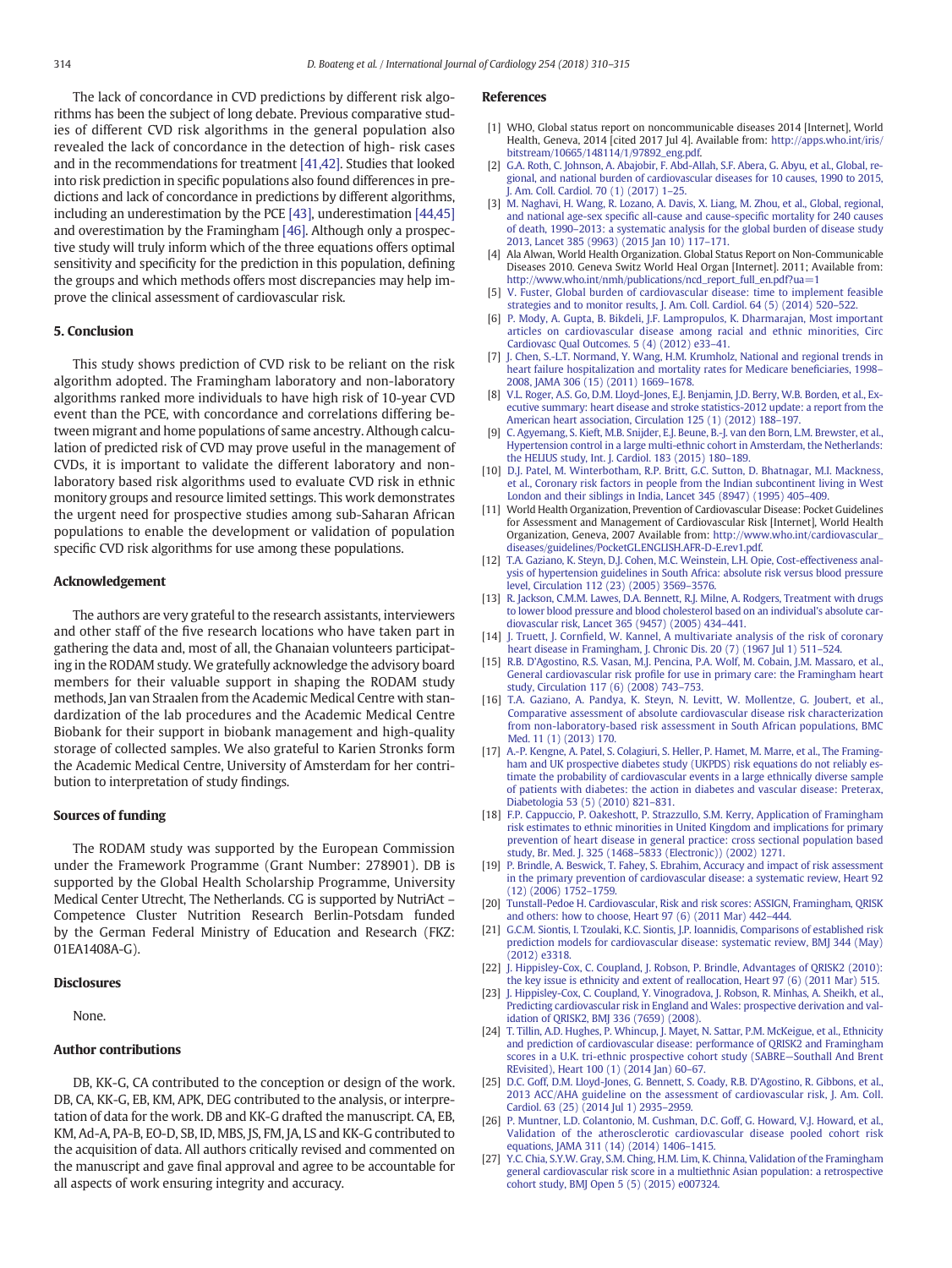<span id="page-4-0"></span>The lack of concordance in CVD predictions by different risk algorithms has been the subject of long debate. Previous comparative studies of different CVD risk algorithms in the general population also revealed the lack of concordance in the detection of high- risk cases and in the recommendations for treatment [\[41,42\].](#page-5-0) Studies that looked into risk prediction in specific populations also found differences in predictions and lack of concordance in predictions by different algorithms, including an underestimation by the PCE [\[43\],](#page-5-0) underestimation [\[44,45\]](#page-5-0) and overestimation by the Framingham [\[46\]](#page-5-0). Although only a prospective study will truly inform which of the three equations offers optimal sensitivity and specificity for the prediction in this population, defining the groups and which methods offers most discrepancies may help improve the clinical assessment of cardiovascular risk.

# 5. Conclusion

This study shows prediction of CVD risk to be reliant on the risk algorithm adopted. The Framingham laboratory and non-laboratory algorithms ranked more individuals to have high risk of 10-year CVD event than the PCE, with concordance and correlations differing between migrant and home populations of same ancestry. Although calculation of predicted risk of CVD may prove useful in the management of CVDs, it is important to validate the different laboratory and nonlaboratory based risk algorithms used to evaluate CVD risk in ethnic monitory groups and resource limited settings. This work demonstrates the urgent need for prospective studies among sub-Saharan African populations to enable the development or validation of population specific CVD risk algorithms for use among these populations.

### Acknowledgement

The authors are very grateful to the research assistants, interviewers and other staff of the five research locations who have taken part in gathering the data and, most of all, the Ghanaian volunteers participating in the RODAM study. We gratefully acknowledge the advisory board members for their valuable support in shaping the RODAM study methods, Jan van Straalen from the Academic Medical Centre with standardization of the lab procedures and the Academic Medical Centre Biobank for their support in biobank management and high-quality storage of collected samples. We also grateful to Karien Stronks form the Academic Medical Centre, University of Amsterdam for her contribution to interpretation of study findings.

# Sources of funding

The RODAM study was supported by the European Commission under the Framework Programme (Grant Number: 278901). DB is supported by the Global Health Scholarship Programme, University Medical Center Utrecht, The Netherlands. CG is supported by NutriAct – Competence Cluster Nutrition Research Berlin-Potsdam funded by the German Federal Ministry of Education and Research (FKZ: 01EA1408A-G).

#### **Disclosures**

None.

# Author contributions

DB, KK-G, CA contributed to the conception or design of the work. DB, CA, KK-G, EB, KM, APK, DEG contributed to the analysis, or interpretation of data for the work. DB and KK-G drafted the manuscript. CA, EB, KM, Ad-A, PA-B, EO-D, SB, ID, MBS, JS, FM, JA, LS and KK-G contributed to the acquisition of data. All authors critically revised and commented on the manuscript and gave final approval and agree to be accountable for all aspects of work ensuring integrity and accuracy.

#### References

- [1] WHO, Global status report on noncommunicable diseases 2014 [Internet], World Health, Geneva, 2014 [cited 2017 Jul 4]. Available from: [http://apps.who.int/iris/](http://apps.who.int/iris/bitstream/10665/148114/1/9789241564854_eng.pdf) [bitstream/10665/148114/1/97892\\_eng.pdf.](http://apps.who.int/iris/bitstream/10665/148114/1/9789241564854_eng.pdf)
- [2] [G.A. Roth, C. Johnson, A. Abajobir, F. Abd-Allah, S.F. Abera, G. Abyu, et al., Global, re](http://refhub.elsevier.com/S0167-5273(17)35857-6/rf0010)[gional, and national burden of cardiovascular diseases for 10 causes, 1990 to 2015,](http://refhub.elsevier.com/S0167-5273(17)35857-6/rf0010) [J. Am. Coll. Cardiol. 70 \(1\) \(2017\) 1](http://refhub.elsevier.com/S0167-5273(17)35857-6/rf0010)–25.
- [3] [M. Naghavi, H. Wang, R. Lozano, A. Davis, X. Liang, M. Zhou, et al., Global, regional,](http://refhub.elsevier.com/S0167-5273(17)35857-6/rf0015) and national age-sex specifi[c all-cause and cause-speci](http://refhub.elsevier.com/S0167-5273(17)35857-6/rf0015)fic mortality for 240 causes of death, 1990–[2013: a systematic analysis for the global burden of disease study](http://refhub.elsevier.com/S0167-5273(17)35857-6/rf0015) [2013, Lancet 385 \(9963\) \(2015 Jan 10\) 117](http://refhub.elsevier.com/S0167-5273(17)35857-6/rf0015)–171.
- [4] Ala Alwan, World Health Organization. Global Status Report on Non-Communicable Diseases 2010. Geneva Switz World Heal Organ [Internet]. 2011; Available from: [http://www.who.int/nmh/publications/ncd\\_report\\_full\\_en.pdf?ua=1](http://www.who.int/nmh/publications/ncd_report_full_en.pdf?ua=1)
- [5] [V. Fuster, Global burden of cardiovascular disease: time to implement feasible](http://refhub.elsevier.com/S0167-5273(17)35857-6/rf0020) [strategies and to monitor results, J. Am. Coll. Cardiol. 64 \(5\) \(2014\) 520](http://refhub.elsevier.com/S0167-5273(17)35857-6/rf0020)–522.
- [6] [P. Mody, A. Gupta, B. Bikdeli, J.F. Lampropulos, K. Dharmarajan, Most important](http://refhub.elsevier.com/S0167-5273(17)35857-6/rf0025) [articles on cardiovascular disease among racial and ethnic minorities, Circ](http://refhub.elsevier.com/S0167-5273(17)35857-6/rf0025) [Cardiovasc Qual Outcomes. 5 \(4\) \(2012\) e33](http://refhub.elsevier.com/S0167-5273(17)35857-6/rf0025)–41.
- [7] [J. Chen, S.-L.T. Normand, Y. Wang, H.M. Krumholz, National and regional trends in](http://refhub.elsevier.com/S0167-5273(17)35857-6/rf0030) [heart failure hospitalization and mortality rates for Medicare bene](http://refhub.elsevier.com/S0167-5273(17)35857-6/rf0030)ficiaries, 1998– [2008, JAMA 306 \(15\) \(2011\) 1669](http://refhub.elsevier.com/S0167-5273(17)35857-6/rf0030)–1678.
- [8] [V.L. Roger, A.S. Go, D.M. Lloyd-Jones, E.J. Benjamin, J.D. Berry, W.B. Borden, et al., Ex](http://refhub.elsevier.com/S0167-5273(17)35857-6/rf0035)[ecutive summary: heart disease and stroke statistics-2012 update: a report from the](http://refhub.elsevier.com/S0167-5273(17)35857-6/rf0035) [American heart association, Circulation 125 \(1\) \(2012\) 188](http://refhub.elsevier.com/S0167-5273(17)35857-6/rf0035)–197.
- [9] [C. Agyemang, S. Kieft, M.B. Snijder, E.J. Beune, B.-J. van den Born, L.M. Brewster, et al.,](http://refhub.elsevier.com/S0167-5273(17)35857-6/rf0040) [Hypertension control in a large multi-ethnic cohort in Amsterdam, the Netherlands:](http://refhub.elsevier.com/S0167-5273(17)35857-6/rf0040) [the HELIUS study, Int. J. Cardiol. 183 \(2015\) 180](http://refhub.elsevier.com/S0167-5273(17)35857-6/rf0040)–189.
- [10] [D.J. Patel, M. Winterbotham, R.P. Britt, G.C. Sutton, D. Bhatnagar, M.I. Mackness,](http://refhub.elsevier.com/S0167-5273(17)35857-6/rf0045) [et al., Coronary risk factors in people from the Indian subcontinent living in West](http://refhub.elsevier.com/S0167-5273(17)35857-6/rf0045) [London and their siblings in India, Lancet 345 \(8947\) \(1995\) 405](http://refhub.elsevier.com/S0167-5273(17)35857-6/rf0045)–409.
- [11] World Health Organization, Prevention of Cardiovascular Disease: Pocket Guidelines for Assessment and Management of Cardiovascular Risk [Internet], World Health Organization, Geneva, 2007 Available from: [http://www.who.int/cardiovascular\\_](http://www.who.int/cardiovascular_diseases/guidelines/PocketGL.ENGLISH.AFR-D-E.rev1.pdf) [diseases/guidelines/PocketGL.ENGLISH.AFR-D-E.rev1.pdf](http://www.who.int/cardiovascular_diseases/guidelines/PocketGL.ENGLISH.AFR-D-E.rev1.pdf).
- [12] [T.A. Gaziano, K. Steyn, D.J. Cohen, M.C. Weinstein, L.H. Opie, Cost-effectiveness anal](http://refhub.elsevier.com/S0167-5273(17)35857-6/rf0055)[ysis of hypertension guidelines in South Africa: absolute risk versus blood pressure](http://refhub.elsevier.com/S0167-5273(17)35857-6/rf0055) [level, Circulation 112 \(23\) \(2005\) 3569](http://refhub.elsevier.com/S0167-5273(17)35857-6/rf0055)–3576.
- [13] [R. Jackson, C.M.M. Lawes, D.A. Bennett, R.J. Milne, A. Rodgers, Treatment with drugs](http://refhub.elsevier.com/S0167-5273(17)35857-6/rf0060) [to lower blood pressure and blood cholesterol based on an individual's absolute car](http://refhub.elsevier.com/S0167-5273(17)35857-6/rf0060)[diovascular risk, Lancet 365 \(9457\) \(2005\) 434](http://refhub.elsevier.com/S0167-5273(17)35857-6/rf0060)–441.
- [14] J. Truett, J. Cornfi[eld, W. Kannel, A multivariate analysis of the risk of coronary](http://refhub.elsevier.com/S0167-5273(17)35857-6/rf0065) [heart disease in Framingham, J. Chronic Dis. 20 \(7\) \(1967 Jul 1\) 511](http://refhub.elsevier.com/S0167-5273(17)35857-6/rf0065)–524.
- [15] [R.B. D'Agostino, R.S. Vasan, M.J. Pencina, P.A. Wolf, M. Cobain, J.M. Massaro, et al.,](http://refhub.elsevier.com/S0167-5273(17)35857-6/rf0070) General cardiovascular risk profi[le for use in primary care: the Framingham heart](http://refhub.elsevier.com/S0167-5273(17)35857-6/rf0070) [study, Circulation 117 \(6\) \(2008\) 743](http://refhub.elsevier.com/S0167-5273(17)35857-6/rf0070)–753.
- [16] [T.A. Gaziano, A. Pandya, K. Steyn, N. Levitt, W. Mollentze, G. Joubert, et al.,](http://refhub.elsevier.com/S0167-5273(17)35857-6/rf0075) [Comparative assessment of absolute cardiovascular disease risk characterization](http://refhub.elsevier.com/S0167-5273(17)35857-6/rf0075) [from non-laboratory-based risk assessment in South African populations, BMC](http://refhub.elsevier.com/S0167-5273(17)35857-6/rf0075) [Med. 11 \(1\) \(2013\) 170](http://refhub.elsevier.com/S0167-5273(17)35857-6/rf0075).
- [17] [A.-P. Kengne, A. Patel, S. Colagiuri, S. Heller, P. Hamet, M. Marre, et al., The Framing](http://refhub.elsevier.com/S0167-5273(17)35857-6/rf0080)[ham and UK prospective diabetes study \(UKPDS\) risk equations do not reliably es](http://refhub.elsevier.com/S0167-5273(17)35857-6/rf0080)[timate the probability of cardiovascular events in a large ethnically diverse sample](http://refhub.elsevier.com/S0167-5273(17)35857-6/rf0080) [of patients with diabetes: the action in diabetes and vascular disease: Preterax,](http://refhub.elsevier.com/S0167-5273(17)35857-6/rf0080) [Diabetologia 53 \(5\) \(2010\) 821](http://refhub.elsevier.com/S0167-5273(17)35857-6/rf0080)–831.
- [18] [F.P. Cappuccio, P. Oakeshott, P. Strazzullo, S.M. Kerry, Application of Framingham](http://refhub.elsevier.com/S0167-5273(17)35857-6/rf0085) [risk estimates to ethnic minorities in United Kingdom and implications for primary](http://refhub.elsevier.com/S0167-5273(17)35857-6/rf0085) [prevention of heart disease in general practice: cross sectional population based](http://refhub.elsevier.com/S0167-5273(17)35857-6/rf0085) study, Br. Med. J. 325 (1468–[5833 \(Electronic\)\) \(2002\) 1271.](http://refhub.elsevier.com/S0167-5273(17)35857-6/rf0085)
- [19] [P. Brindle, A. Beswick, T. Fahey, S. Ebrahim, Accuracy and impact of risk assessment](http://refhub.elsevier.com/S0167-5273(17)35857-6/rf0090) [in the primary prevention of cardiovascular disease: a systematic review, Heart 92](http://refhub.elsevier.com/S0167-5273(17)35857-6/rf0090) [\(12\) \(2006\) 1752](http://refhub.elsevier.com/S0167-5273(17)35857-6/rf0090)–1759.
- [20] [Tunstall-Pedoe H. Cardiovascular, Risk and risk scores: ASSIGN, Framingham, QRISK](http://refhub.elsevier.com/S0167-5273(17)35857-6/rf0095) [and others: how to choose, Heart 97 \(6\) \(2011 Mar\) 442](http://refhub.elsevier.com/S0167-5273(17)35857-6/rf0095)–444.
- [21] [G.C.M. Siontis, I. Tzoulaki, K.C. Siontis, J.P. Ioannidis, Comparisons of established risk](http://refhub.elsevier.com/S0167-5273(17)35857-6/rf0100) [prediction models for cardiovascular disease: systematic review, BMJ 344 \(May\)](http://refhub.elsevier.com/S0167-5273(17)35857-6/rf0100) [\(2012\) e3318](http://refhub.elsevier.com/S0167-5273(17)35857-6/rf0100).
- [22] [J. Hippisley-Cox, C. Coupland, J. Robson, P. Brindle, Advantages of QRISK2 \(2010\):](http://refhub.elsevier.com/S0167-5273(17)35857-6/rf0105) [the key issue is ethnicity and extent of reallocation, Heart 97 \(6\) \(2011 Mar\) 515](http://refhub.elsevier.com/S0167-5273(17)35857-6/rf0105).
- [23] [J. Hippisley-Cox, C. Coupland, Y. Vinogradova, J. Robson, R. Minhas, A. Sheikh, et al.,](http://refhub.elsevier.com/S0167-5273(17)35857-6/rf0110) [Predicting cardiovascular risk in England and Wales: prospective derivation and val](http://refhub.elsevier.com/S0167-5273(17)35857-6/rf0110)[idation of QRISK2, BMJ 336 \(7659\) \(2008\)](http://refhub.elsevier.com/S0167-5273(17)35857-6/rf0110).
- [24] [T. Tillin, A.D. Hughes, P. Whincup, J. Mayet, N. Sattar, P.M. McKeigue, et al., Ethnicity](http://refhub.elsevier.com/S0167-5273(17)35857-6/rf0115) [and prediction of cardiovascular disease: performance of QRISK2 and Framingham](http://refhub.elsevier.com/S0167-5273(17)35857-6/rf0115) [scores in a U.K. tri-ethnic prospective cohort study \(SABRE](http://refhub.elsevier.com/S0167-5273(17)35857-6/rf0115)—Southall And Brent [REvisited\), Heart 100 \(1\) \(2014 Jan\) 60](http://refhub.elsevier.com/S0167-5273(17)35857-6/rf0115)–67.
- [25] [D.C. Goff, D.M. Lloyd-Jones, G. Bennett, S. Coady, R.B. D'Agostino, R. Gibbons, et al.,](http://refhub.elsevier.com/S0167-5273(17)35857-6/rf0120) [2013 ACC/AHA guideline on the assessment of cardiovascular risk, J. Am. Coll.](http://refhub.elsevier.com/S0167-5273(17)35857-6/rf0120) [Cardiol. 63 \(25\) \(2014 Jul 1\) 2935](http://refhub.elsevier.com/S0167-5273(17)35857-6/rf0120)–2959.
- [26] [P. Muntner, L.D. Colantonio, M. Cushman, D.C. Goff, G. Howard, V.J. Howard, et al.,](http://refhub.elsevier.com/S0167-5273(17)35857-6/rf0125) [Validation of the atherosclerotic cardiovascular disease pooled cohort risk](http://refhub.elsevier.com/S0167-5273(17)35857-6/rf0125) [equations, JAMA 311 \(14\) \(2014\) 1406](http://refhub.elsevier.com/S0167-5273(17)35857-6/rf0125)–1415.
- [27] [Y.C. Chia, S.Y.W. Gray, S.M. Ching, H.M. Lim, K. Chinna, Validation of the Framingham](http://refhub.elsevier.com/S0167-5273(17)35857-6/rf0130) [general cardiovascular risk score in a multiethnic Asian population: a retrospective](http://refhub.elsevier.com/S0167-5273(17)35857-6/rf0130) [cohort study, BMJ Open 5 \(5\) \(2015\) e007324](http://refhub.elsevier.com/S0167-5273(17)35857-6/rf0130).